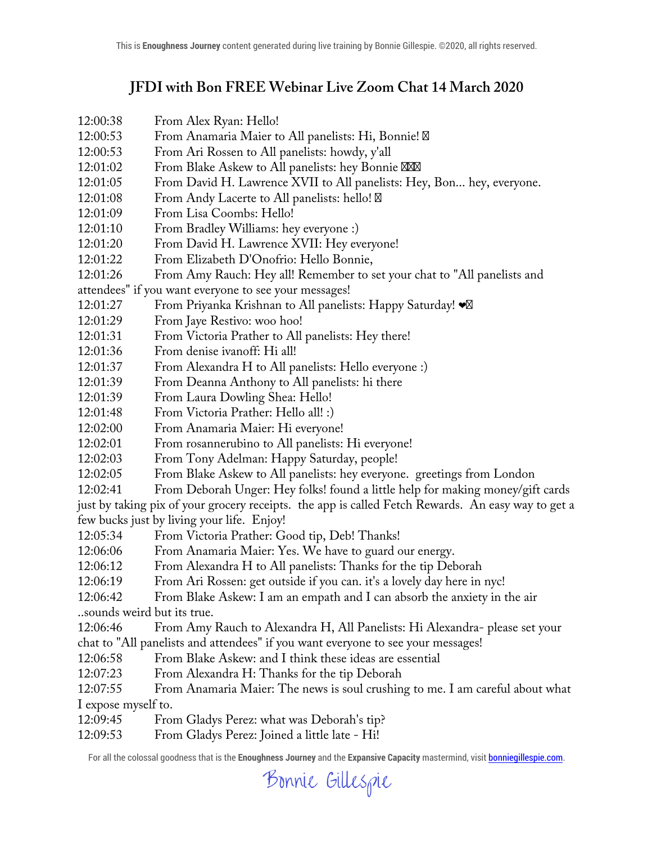## **JFDI with Bon FREE Webinar Live Zoom Chat 14 March 2020**

- 12:00:38 From Alex Ryan: Hello!
- 12:00:53 From Anamaria Maier to All panelists: Hi, Bonnie!
- 12:00:53 From Ari Rossen to All panelists: howdy, y'all
- 12:01:02 From Blake Askew to All panelists: hey Bonnie
- 12:01:05 From David H. Lawrence XVII to All panelists: Hey, Bon... hey, everyone.
- 12:01:08 From Andy Lacerte to All panelists: hello!
- 12:01:09 From Lisa Coombs: Hello!
- 12:01:10 From Bradley Williams: hey everyone :)
- 12:01:20 From David H. Lawrence XVII: Hey everyone!
- 12:01:22 From Elizabeth D'Onofrio: Hello Bonnie,
- 12:01:26 From Amy Rauch: Hey all! Remember to set your chat to "All panelists and
- attendees" if you want everyone to see your messages!
- 12:01:27 From Priyanka Krishnan to All panelists: Happy Saturday!  $\bullet$
- 12:01:29 From Jaye Restivo: woo hoo!
- 12:01:31 From Victoria Prather to All panelists: Hey there!
- 12:01:36 From denise ivanoff: Hi all!
- 12:01:37 From Alexandra H to All panelists: Hello everyone :)
- 12:01:39 From Deanna Anthony to All panelists: hi there
- 12:01:39 From Laura Dowling Shea: Hello!
- 12:01:48 From Victoria Prather: Hello all! :)
- 12:02:00 From Anamaria Maier: Hi everyone!
- 12:02:01 From rosannerubino to All panelists: Hi everyone!
- 12:02:03 From Tony Adelman: Happy Saturday, people!
- 12:02:05 From Blake Askew to All panelists: hey everyone. greetings from London
- 12:02:41 From Deborah Unger: Hey folks! found a little help for making money/gift cards

just by taking pix of your grocery receipts. the app is called Fetch Rewards. An easy way to get a few bucks just by living your life. Enjoy!

- 12:05:34 From Victoria Prather: Good tip, Deb! Thanks!
- 12:06:06 From Anamaria Maier: Yes. We have to guard our energy.
- 12:06:12 From Alexandra H to All panelists: Thanks for the tip Deborah
- 12:06:19 From Ari Rossen: get outside if you can. it's a lovely day here in nyc!
- 12:06:42 From Blake Askew: I am an empath and I can absorb the anxiety in the air
- ..sounds weird but its true.

12:06:46 From Amy Rauch to Alexandra H, All Panelists: Hi Alexandra- please set your chat to "All panelists and attendees" if you want everyone to see your messages!

- 12:06:58 From Blake Askew: and I think these ideas are essential
- 12:07:23 From Alexandra H: Thanks for the tip Deborah

12:07:55 From Anamaria Maier: The news is soul crushing to me. I am careful about what I expose myself to.

- 12:09:45 From Gladys Perez: what was Deborah's tip?
- 12:09:53 From Gladys Perez: Joined a little late Hi!

Bonnie Gillespie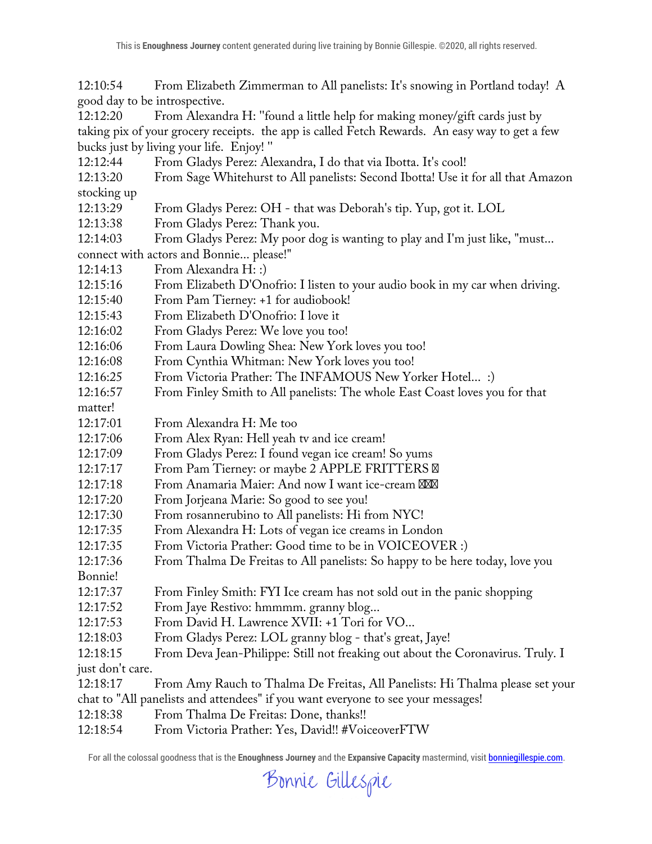12:10:54 From Elizabeth Zimmerman to All panelists: It's snowing in Portland today! A good day to be introspective.

12:12:20 From Alexandra H: ''found a little help for making money/gift cards just by taking pix of your grocery receipts. the app is called Fetch Rewards. An easy way to get a few bucks just by living your life. Enjoy! ''

12:12:44 From Gladys Perez: Alexandra, I do that via Ibotta. It's cool!

12:13:20 From Sage Whitehurst to All panelists: Second Ibotta! Use it for all that Amazon stocking up

12:13:29 From Gladys Perez: OH - that was Deborah's tip. Yup, got it. LOL

12:13:38 From Gladys Perez: Thank you.

12:14:03 From Gladys Perez: My poor dog is wanting to play and I'm just like, "must... connect with actors and Bonnie... please!"

12:14:13 From Alexandra H: :)

12:15:16 From Elizabeth D'Onofrio: I listen to your audio book in my car when driving.

12:15:40 From Pam Tierney: +1 for audiobook!

12:15:43 From Elizabeth D'Onofrio: I love it

12:16:02 From Gladys Perez: We love you too!

12:16:06 From Laura Dowling Shea: New York loves you too!

12:16:08 From Cynthia Whitman: New York loves you too!

12:16:25 From Victoria Prather: The INFAMOUS New Yorker Hotel... :)

12:16:57 From Finley Smith to All panelists: The whole East Coast loves you for that

matter!

12:17:01 From Alexandra H: Me too

12:17:06 From Alex Ryan: Hell yeah tv and ice cream!

12:17:09 From Gladys Perez: I found vegan ice cream! So yums

12:17:17 From Pam Tierney: or maybe 2 APPLE FRITTERS

12:17:18 From Anamaria Maier: And now I want ice-cream

12:17:20 From Jorjeana Marie: So good to see you!

12:17:30 From rosannerubino to All panelists: Hi from NYC!

12:17:35 From Alexandra H: Lots of vegan ice creams in London

12:17:35 From Victoria Prather: Good time to be in VOICEOVER :)

12:17:36 From Thalma De Freitas to All panelists: So happy to be here today, love you

Bonnie!

12:17:37 From Finley Smith: FYI Ice cream has not sold out in the panic shopping

12:17:52 From Jaye Restivo: hmmmm. granny blog...

12:17:53 From David H. Lawrence XVII: +1 Tori for VO...

12:18:03 From Gladys Perez: LOL granny blog - that's great, Jaye!

12:18:15 From Deva Jean-Philippe: Still not freaking out about the Coronavirus. Truly. I just don't care.

12:18:17 From Amy Rauch to Thalma De Freitas, All Panelists: Hi Thalma please set your

chat to "All panelists and attendees" if you want everyone to see your messages!

12:18:38 From Thalma De Freitas: Done, thanks!!

12:18:54 From Victoria Prather: Yes, David!! #VoiceoverFTW

Bonnie Gillespie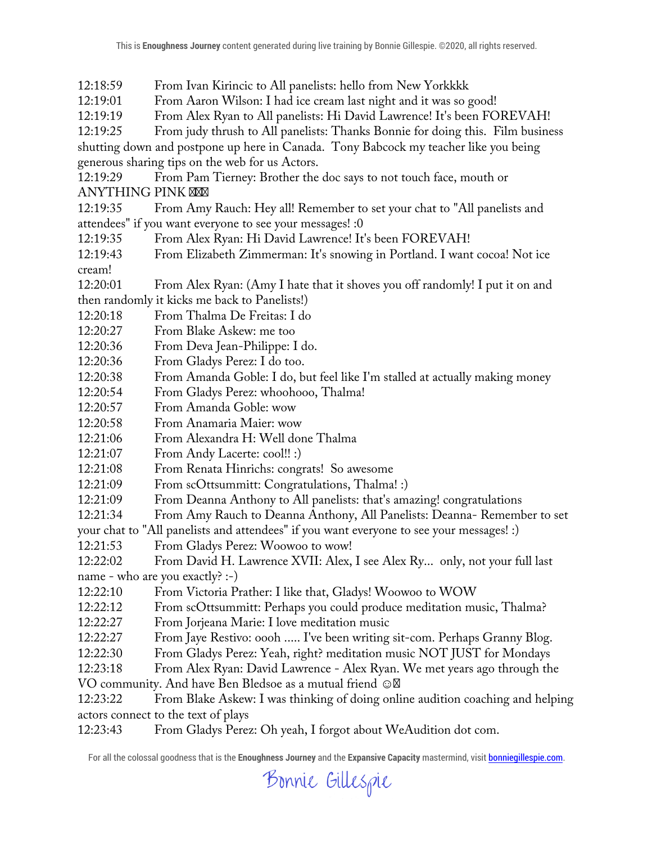12:18:59 From Ivan Kirincic to All panelists: hello from New Yorkkkk<br>12:19:01 From Aaron Wilson: I had ice cream last night and it was so g From Aaron Wilson: I had ice cream last night and it was so good! 12:19:19 From Alex Ryan to All panelists: Hi David Lawrence! It's been FOREVAH! 12:19:25 From judy thrush to All panelists: Thanks Bonnie for doing this. Film business shutting down and postpone up here in Canada. Tony Babcock my teacher like you being generous sharing tips on the web for us Actors. 12:19:29 From Pam Tierney: Brother the doc says to not touch face, mouth or ANYTHING PINK 12:19:35 From Amy Rauch: Hey all! Remember to set your chat to "All panelists and attendees" if you want everyone to see your messages! :0 12:19:35 From Alex Ryan: Hi David Lawrence! It's been FOREVAH! 12:19:43 From Elizabeth Zimmerman: It's snowing in Portland. I want cocoa! Not ice cream! 12:20:01 From Alex Ryan: (Amy I hate that it shoves you off randomly! I put it on and then randomly it kicks me back to Panelists!) 12:20:18 From Thalma De Freitas: I do 12:20:27 From Blake Askew: me too 12:20:36 From Deva Jean-Philippe: I do. 12:20:36 From Gladys Perez: I do too. 12:20:38 From Amanda Goble: I do, but feel like I'm stalled at actually making money 12:20:54 From Gladys Perez: whoohooo, Thalma! 12:20:57 From Amanda Goble: wow 12:20:58 From Anamaria Maier: wow 12:21:06 From Alexandra H: Well done Thalma 12:21:07 From Andy Lacerte: cool!! :) 12:21:08 From Renata Hinrichs: congrats! So awesome 12:21:09 From scOttsummitt: Congratulations, Thalma! :) 12:21:09 From Deanna Anthony to All panelists: that's amazing! congratulations 12:21:34 From Amy Rauch to Deanna Anthony, All Panelists: Deanna- Remember to set your chat to "All panelists and attendees" if you want everyone to see your messages! :) 12:21:53 From Gladys Perez: Woowoo to wow! 12:22:02 From David H. Lawrence XVII: Alex, I see Alex Ry... only, not your full last name - who are you exactly? :-) 12:22:10 From Victoria Prather: I like that, Gladys! Woowoo to WOW 12:22:12 From scOttsummitt: Perhaps you could produce meditation music, Thalma? 12:22:27 From Jorjeana Marie: I love meditation music 12:22:27 From Jaye Restivo: oooh ..... I've been writing sit-com. Perhaps Granny Blog. 12:22:30 From Gladys Perez: Yeah, right? meditation music NOT JUST for Mondays 12:23:18 From Alex Ryan: David Lawrence - Alex Ryan. We met years ago through the VO community. And have Ben Bledsoe as a mutual friend  $\odot$ 12:23:22 From Blake Askew: I was thinking of doing online audition coaching and helping actors connect to the text of plays 12:23:43 From Gladys Perez: Oh yeah, I forgot about WeAudition dot com.

Bonnie Gillespie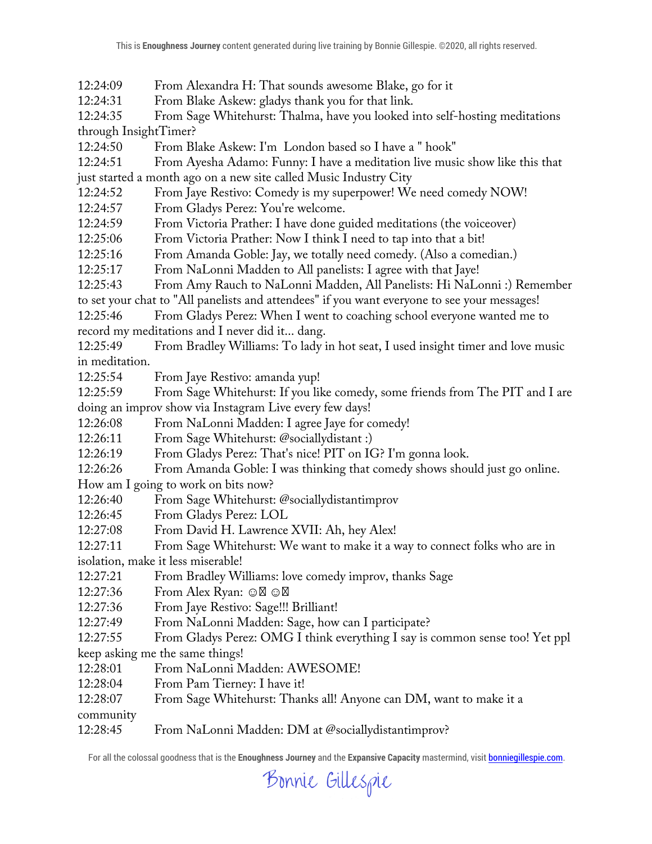12:24:09 From Alexandra H: That sounds awesome Blake, go for it

12:24:31 From Blake Askew: gladys thank you for that link.

12:24:35 From Sage Whitehurst: Thalma, have you looked into self-hosting meditations through InsightTimer?

12:24:50 From Blake Askew: I'm London based so I have a " hook"

12:24:51 From Ayesha Adamo: Funny: I have a meditation live music show like this that just started a month ago on a new site called Music Industry City

12:24:52 From Jaye Restivo: Comedy is my superpower! We need comedy NOW!

12:24:57 From Gladys Perez: You're welcome.

12:24:59 From Victoria Prather: I have done guided meditations (the voiceover)

12:25:06 From Victoria Prather: Now I think I need to tap into that a bit!

12:25:16 From Amanda Goble: Jay, we totally need comedy. (Also a comedian.)

12:25:17 From NaLonni Madden to All panelists: I agree with that Jaye!

12:25:43 From Amy Rauch to NaLonni Madden, All Panelists: Hi NaLonni :) Remember

to set your chat to "All panelists and attendees" if you want everyone to see your messages!

12:25:46 From Gladys Perez: When I went to coaching school everyone wanted me to record my meditations and I never did it... dang.

12:25:49 From Bradley Williams: To lady in hot seat, I used insight timer and love music in meditation.

12:25:54 From Jaye Restivo: amanda yup!

12:25:59 From Sage Whitehurst: If you like comedy, some friends from The PIT and I are doing an improv show via Instagram Live every few days!

12:26:08 From NaLonni Madden: I agree Jaye for comedy!

12:26:11 From Sage Whitehurst: @sociallydistant :)

12:26:19 From Gladys Perez: That's nice! PIT on IG? I'm gonna look.

12:26:26 From Amanda Goble: I was thinking that comedy shows should just go online.

How am I going to work on bits now?

12:26:40 From Sage Whitehurst: @sociallydistantimprov

12:26:45 From Gladys Perez: LOL

12:27:08 From David H. Lawrence XVII: Ah, hey Alex!

12:27:11 From Sage Whitehurst: We want to make it a way to connect folks who are in

isolation, make it less miserable!

12:27:21 From Bradley Williams: love comedy improv, thanks Sage

12:27:36 From Alex Ryan: ☺ ☺

12:27:36 From Jaye Restivo: Sage!!! Brilliant!

12:27:49 From NaLonni Madden: Sage, how can I participate?

12:27:55 From Gladys Perez: OMG I think everything I say is common sense too! Yet ppl keep asking me the same things!

12:28:01 From NaLonni Madden: AWESOME!

12:28:04 From Pam Tierney: I have it!

12:28:07 From Sage Whitehurst: Thanks all! Anyone can DM, want to make it a

community

12:28:45 From NaLonni Madden: DM at @sociallydistantimprov?

Bonnie Gillespie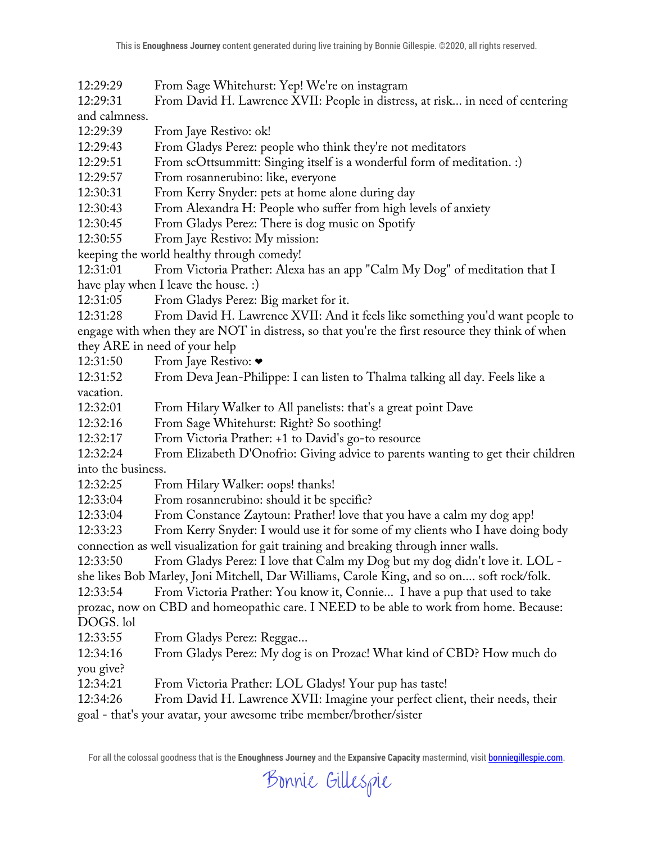12:29:29 From Sage Whitehurst: Yep! We're on instagram

12:29:31 From David H. Lawrence XVII: People in distress, at risk... in need of centering and calmness.

12:29:39 From Jaye Restivo: ok!

12:29:43 From Gladys Perez: people who think they're not meditators

12:29:51 From scOttsummitt: Singing itself is a wonderful form of meditation. :)

12:29:57 From rosannerubino: like, everyone

12:30:31 From Kerry Snyder: pets at home alone during day

12:30:43 From Alexandra H: People who suffer from high levels of anxiety

12:30:45 From Gladys Perez: There is dog music on Spotify

12:30:55 From Jaye Restivo: My mission:

keeping the world healthy through comedy!

12:31:01 From Victoria Prather: Alexa has an app "Calm My Dog" of meditation that I have play when I leave the house. :)

12:31:05 From Gladys Perez: Big market for it.

12:31:28 From David H. Lawrence XVII: And it feels like something you'd want people to engage with when they are NOT in distress, so that you're the first resource they think of when they ARE in need of your help

12:31:50 From Jaye Restivo: ❤

12:31:52 From Deva Jean-Philippe: I can listen to Thalma talking all day. Feels like a vacation.

12:32:01 From Hilary Walker to All panelists: that's a great point Dave

12:32:16 From Sage Whitehurst: Right? So soothing!

12:32:17 From Victoria Prather: +1 to David's go-to resource

12:32:24 From Elizabeth D'Onofrio: Giving advice to parents wanting to get their children into the business.

12:32:25 From Hilary Walker: oops! thanks!

12:33:04 From rosannerubino: should it be specific?

12:33:04 From Constance Zaytoun: Prather! love that you have a calm my dog app!

12:33:23 From Kerry Snyder: I would use it for some of my clients who I have doing body connection as well visualization for gait training and breaking through inner walls.

12:33:50 From Gladys Perez: I love that Calm my Dog but my dog didn't love it. LOL -

she likes Bob Marley, Joni Mitchell, Dar Williams, Carole King, and so on.... soft rock/folk.

12:33:54 From Victoria Prather: You know it, Connie... I have a pup that used to take prozac, now on CBD and homeopathic care. I NEED to be able to work from home. Because: DOGS. lol

12:33:55 From Gladys Perez: Reggae...

12:34:16 From Gladys Perez: My dog is on Prozac! What kind of CBD? How much do you give?

12:34:21 From Victoria Prather: LOL Gladys! Your pup has taste!

12:34:26 From David H. Lawrence XVII: Imagine your perfect client, their needs, their

goal - that's your avatar, your awesome tribe member/brother/sister

Bonnie Gillespie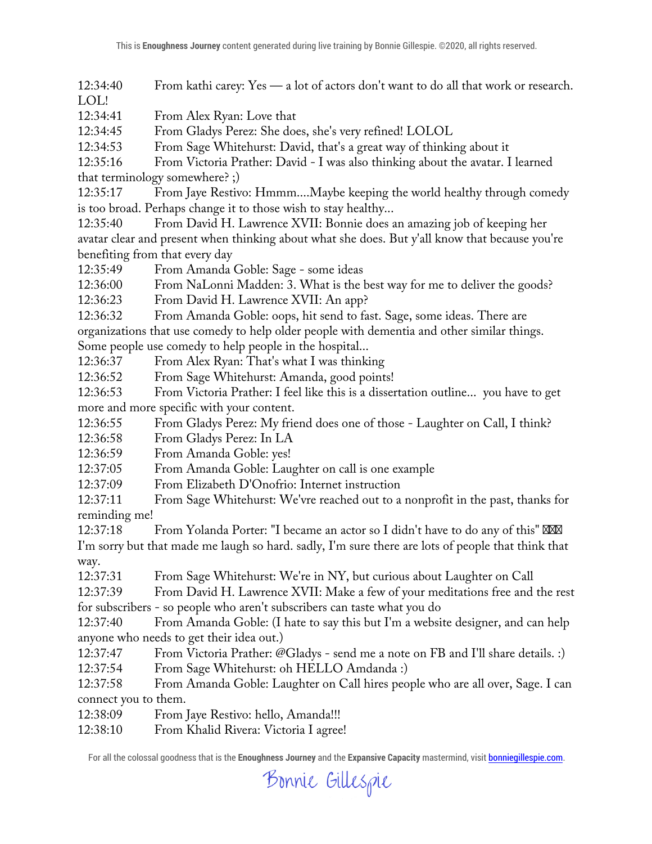12:34:40 From kathi carey: Yes — a lot of actors don't want to do all that work or research. LOL!

12:34:41 From Alex Ryan: Love that

12:34:45 From Gladys Perez: She does, she's very refined! LOLOL

12:34:53 From Sage Whitehurst: David, that's a great way of thinking about it

12:35:16 From Victoria Prather: David - I was also thinking about the avatar. I learned that terminology somewhere? ;)

12:35:17 From Jaye Restivo: Hmmm....Maybe keeping the world healthy through comedy is too broad. Perhaps change it to those wish to stay healthy...

12:35:40 From David H. Lawrence XVII: Bonnie does an amazing job of keeping her avatar clear and present when thinking about what she does. But y'all know that because you're benefiting from that every day

12:35:49 From Amanda Goble: Sage - some ideas

12:36:00 From NaLonni Madden: 3. What is the best way for me to deliver the goods?

12:36:23 From David H. Lawrence XVII: An app?

12:36:32 From Amanda Goble: oops, hit send to fast. Sage, some ideas. There are organizations that use comedy to help older people with dementia and other similar things. Some people use comedy to help people in the hospital...

12:36:37 From Alex Ryan: That's what I was thinking

12:36:52 From Sage Whitehurst: Amanda, good points!

12:36:53 From Victoria Prather: I feel like this is a dissertation outline... you have to get more and more specific with your content.

12:36:55 From Gladys Perez: My friend does one of those - Laughter on Call, I think?

12:36:58 From Gladys Perez: In LA

12:36:59 From Amanda Goble: yes!

12:37:05 From Amanda Goble: Laughter on call is one example

12:37:09 From Elizabeth D'Onofrio: Internet instruction

12:37:11 From Sage Whitehurst: We'vre reached out to a nonprofit in the past, thanks for reminding me!

12:37:18 From Yolanda Porter: "I became an actor so I didn't have to do any of this"

I'm sorry but that made me laugh so hard. sadly, I'm sure there are lots of people that think that way.

12:37:31 From Sage Whitehurst: We're in NY, but curious about Laughter on Call

12:37:39 From David H. Lawrence XVII: Make a few of your meditations free and the rest for subscribers - so people who aren't subscribers can taste what you do

12:37:40 From Amanda Goble: (I hate to say this but I'm a website designer, and can help anyone who needs to get their idea out.)

12:37:47 From Victoria Prather: @Gladys - send me a note on FB and I'll share details. :)

12:37:54 From Sage Whitehurst: oh HELLO Amdanda :)

12:37:58 From Amanda Goble: Laughter on Call hires people who are all over, Sage. I can connect you to them.

12:38:09 From Jaye Restivo: hello, Amanda!!!

12:38:10 From Khalid Rivera: Victoria I agree!

Bonnie Gillespie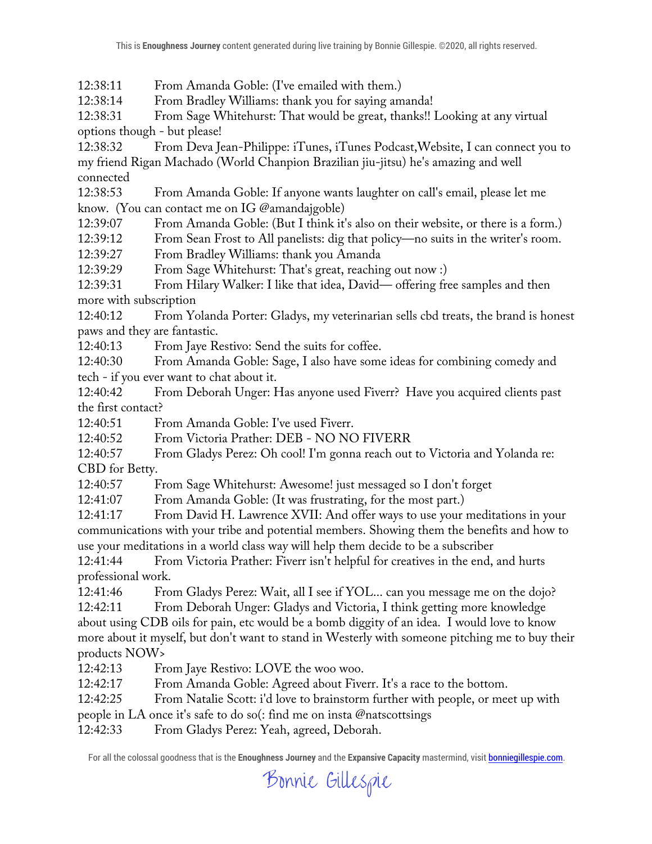12:38:11 From Amanda Goble: (I've emailed with them.)

12:38:14 From Bradley Williams: thank you for saying amanda!

12:38:31 From Sage Whitehurst: That would be great, thanks!! Looking at any virtual options though - but please!

12:38:32 From Deva Jean-Philippe: iTunes, iTunes Podcast,Website, I can connect you to my friend Rigan Machado (World Chanpion Brazilian jiu-jitsu) he's amazing and well connected

12:38:53 From Amanda Goble: If anyone wants laughter on call's email, please let me know. (You can contact me on IG @amandajgoble)

12:39:07 From Amanda Goble: (But I think it's also on their website, or there is a form.)

12:39:12 From Sean Frost to All panelists: dig that policy—no suits in the writer's room.

12:39:27 From Bradley Williams: thank you Amanda

12:39:29 From Sage Whitehurst: That's great, reaching out now :)

12:39:31 From Hilary Walker: I like that idea, David— offering free samples and then more with subscription

12:40:12 From Yolanda Porter: Gladys, my veterinarian sells cbd treats, the brand is honest paws and they are fantastic.

12:40:13 From Jaye Restivo: Send the suits for coffee.

12:40:30 From Amanda Goble: Sage, I also have some ideas for combining comedy and tech - if you ever want to chat about it.

12:40:42 From Deborah Unger: Has anyone used Fiverr? Have you acquired clients past the first contact?

12:40:51 From Amanda Goble: I've used Fiverr.

12:40:52 From Victoria Prather: DEB - NO NO FIVERR

12:40:57 From Gladys Perez: Oh cool! I'm gonna reach out to Victoria and Yolanda re: CBD for Betty.

12:40:57 From Sage Whitehurst: Awesome! just messaged so I don't forget

12:41:07 From Amanda Goble: (It was frustrating, for the most part.)

12:41:17 From David H. Lawrence XVII: And offer ways to use your meditations in your communications with your tribe and potential members. Showing them the benefits and how to use your meditations in a world class way will help them decide to be a subscriber

12:41:44 From Victoria Prather: Fiverr isn't helpful for creatives in the end, and hurts professional work.

12:41:46 From Gladys Perez: Wait, all I see if YOL... can you message me on the dojo?

12:42:11 From Deborah Unger: Gladys and Victoria, I think getting more knowledge about using CDB oils for pain, etc would be a bomb diggity of an idea. I would love to know more about it myself, but don't want to stand in Westerly with someone pitching me to buy their products NOW>

12:42:13 From Jaye Restivo: LOVE the woo woo.

12:42:17 From Amanda Goble: Agreed about Fiverr. It's a race to the bottom.

12:42:25 From Natalie Scott: i'd love to brainstorm further with people, or meet up with

people in LA once it's safe to do so(: find me on insta @natscottsings

12:42:33 From Gladys Perez: Yeah, agreed, Deborah.

Bonnie Gillespie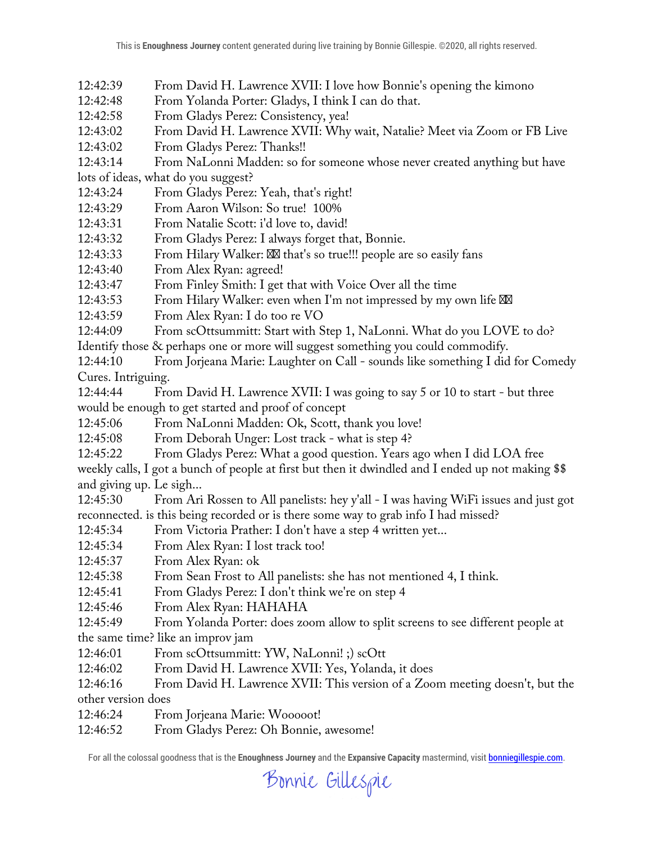- 12:42:39 From David H. Lawrence XVII: I love how Bonnie's opening the kimono
- 12:42:48 From Yolanda Porter: Gladys, I think I can do that.
- 12:42:58 From Gladys Perez: Consistency, yea!
- 12:43:02 From David H. Lawrence XVII: Why wait, Natalie? Meet via Zoom or FB Live
- 12:43:02 From Gladys Perez: Thanks!!
- 12:43:14 From NaLonni Madden: so for someone whose never created anything but have
- lots of ideas, what do you suggest?
- 12:43:24 From Gladys Perez: Yeah, that's right!
- 12:43:29 From Aaron Wilson: So true! 100%
- 12:43:31 From Natalie Scott: i'd love to, david!
- 12:43:32 From Gladys Perez: I always forget that, Bonnie.
- 12:43:33 From Hilary Walker: that's so true!!! people are so easily fans
- 12:43:40 From Alex Ryan: agreed!
- 12:43:47 From Finley Smith: I get that with Voice Over all the time
- 12:43:53 From Hilary Walker: even when I'm not impressed by my own life
- 12:43:59 From Alex Ryan: I do too re VO
- 12:44:09 From scOttsummitt: Start with Step 1, NaLonni. What do you LOVE to do? Identify those & perhaps one or more will suggest something you could commodify.
- 12:44:10 From Jorjeana Marie: Laughter on Call sounds like something I did for Comedy Cures. Intriguing.
- 12:44:44 From David H. Lawrence XVII: I was going to say 5 or 10 to start but three would be enough to get started and proof of concept
- 12:45:06 From NaLonni Madden: Ok, Scott, thank you love!
- 12:45:08 From Deborah Unger: Lost track what is step 4?
- 12:45:22 From Gladys Perez: What a good question. Years ago when I did LOA free
- weekly calls, I got a bunch of people at first but then it dwindled and I ended up not making \$\$ and giving up. Le sigh...
- 12:45:30 From Ari Rossen to All panelists: hey y'all I was having WiFi issues and just got reconnected. is this being recorded or is there some way to grab info I had missed?
- 12:45:34 From Victoria Prather: I don't have a step 4 written yet...
- 12:45:34 From Alex Ryan: I lost track too!
- 12:45:37 From Alex Ryan: ok
- 12:45:38 From Sean Frost to All panelists: she has not mentioned 4, I think.
- 12:45:41 From Gladys Perez: I don't think we're on step 4
- 12:45:46 From Alex Ryan: HAHAHA
- 12:45:49 From Yolanda Porter: does zoom allow to split screens to see different people at the same time? like an improv jam
- 12:46:01 From scOttsummitt: YW, NaLonni! ;) scOtt
- 12:46:02 From David H. Lawrence XVII: Yes, Yolanda, it does
- 12:46:16 From David H. Lawrence XVII: This version of a Zoom meeting doesn't, but the other version does
- 12:46:24 From Jorjeana Marie: Wooooot!
- 12:46:52 From Gladys Perez: Oh Bonnie, awesome!

Bonnie Gillespie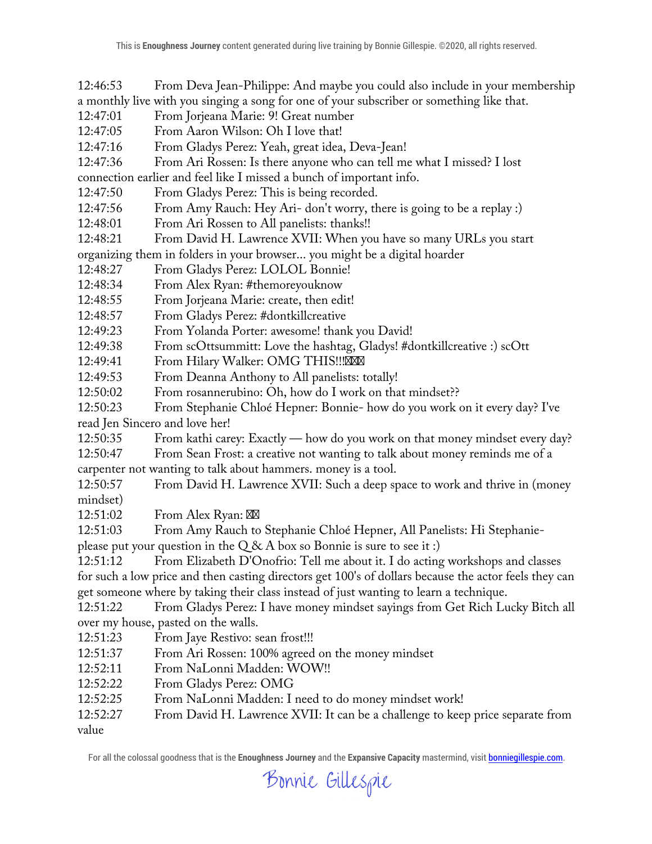12:46:53 From Deva Jean-Philippe: And maybe you could also include in your membership a monthly live with you singing a song for one of your subscriber or something like that.

- 12:47:01 From Jorjeana Marie: 9! Great number
- 12:47:05 From Aaron Wilson: Oh I love that!
- 12:47:16 From Gladys Perez: Yeah, great idea, Deva-Jean!
- 12:47:36 From Ari Rossen: Is there anyone who can tell me what I missed? I lost
- connection earlier and feel like I missed a bunch of important info.
- 12:47:50 From Gladys Perez: This is being recorded.
- 12:47:56 From Amy Rauch: Hey Ari- don't worry, there is going to be a replay :)
- 12:48:01 From Ari Rossen to All panelists: thanks!!
- 12:48:21 From David H. Lawrence XVII: When you have so many URLs you start
- organizing them in folders in your browser... you might be a digital hoarder
- 12:48:27 From Gladys Perez: LOLOL Bonnie!
- 12:48:34 From Alex Ryan: #themoreyouknow
- 12:48:55 From Jorjeana Marie: create, then edit!
- 12:48:57 From Gladys Perez: #dontkillcreative
- 12:49:23 From Yolanda Porter: awesome! thank you David!
- 12:49:38 From scOttsummitt: Love the hashtag, Gladys! #dontkillcreative :) scOtt
- 12:49:41 From Hilary Walker: OMG THIS!!!
- 12:49:53 From Deanna Anthony to All panelists: totally!
- 12:50:02 From rosannerubino: Oh, how do I work on that mindset??
- 12:50:23 From Stephanie Chloé Hepner: Bonnie- how do you work on it every day? I've read Jen Sincero and love her!
- 12:50:35 From kathi carey: Exactly how do you work on that money mindset every day?

12:50:47 From Sean Frost: a creative not wanting to talk about money reminds me of a carpenter not wanting to talk about hammers. money is a tool.

- 12:50:57 From David H. Lawrence XVII: Such a deep space to work and thrive in (money mindset)
- 12:51:02 From Alex Ryan:
- 12:51:03 From Amy Rauch to Stephanie Chloé Hepner, All Panelists: Hi Stephanie-

please put your question in the  $Q & A$  box so Bonnie is sure to see it :)

12:51:12 From Elizabeth D'Onofrio: Tell me about it. I do acting workshops and classes for such a low price and then casting directors get 100's of dollars because the actor feels they can get someone where by taking their class instead of just wanting to learn a technique.

12:51:22 From Gladys Perez: I have money mindset sayings from Get Rich Lucky Bitch all over my house, pasted on the walls.

- 12:51:23 From Jaye Restivo: sean frost!!!
- 12:51:37 From Ari Rossen: 100% agreed on the money mindset
- 12:52:11 From NaLonni Madden: WOW!!
- 12:52:22 From Gladys Perez: OMG
- 12:52:25 From NaLonni Madden: I need to do money mindset work!
- 12:52:27 From David H. Lawrence XVII: It can be a challenge to keep price separate from value

Bonnie Gillespie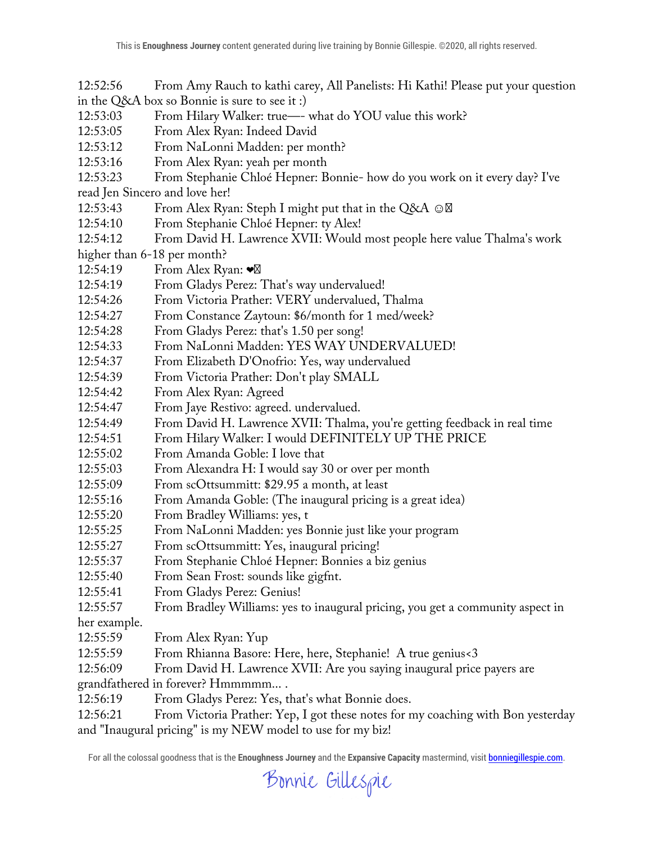12:52:56 From Amy Rauch to kathi carey, All Panelists: Hi Kathi! Please put your question in the Q&A box so Bonnie is sure to see it :)

- 12:53:03 From Hilary Walker: true—- what do YOU value this work?
- 12:53:05 From Alex Ryan: Indeed David
- 12:53:12 From NaLonni Madden: per month?
- 12:53:16 From Alex Ryan: yeah per month
- 12:53:23 From Stephanie Chloé Hepner: Bonnie- how do you work on it every day? I've

read Jen Sincero and love her!

- 12:53:43 From Alex Ryan: Steph I might put that in the Q&A  $\odot$
- 12:54:10 From Stephanie Chloé Hepner: ty Alex!
- 12:54:12 From David H. Lawrence XVII: Would most people here value Thalma's work

higher than 6-18 per month?

- 12:54:19 From Alex Ryan: ❤
- 12:54:19 From Gladys Perez: That's way undervalued!
- 12:54:26 From Victoria Prather: VERY undervalued, Thalma
- 12:54:27 From Constance Zaytoun: \$6/month for 1 med/week?
- 12:54:28 From Gladys Perez: that's 1.50 per song!
- 12:54:33 From NaLonni Madden: YES WAY UNDERVALUED!
- 12:54:37 From Elizabeth D'Onofrio: Yes, way undervalued
- 12:54:39 From Victoria Prather: Don't play SMALL
- 12:54:42 From Alex Ryan: Agreed
- 12:54:47 From Jaye Restivo: agreed. undervalued.
- 12:54:49 From David H. Lawrence XVII: Thalma, you're getting feedback in real time
- 12:54:51 From Hilary Walker: I would DEFINITELY UP THE PRICE
- 12:55:02 From Amanda Goble: I love that
- 12:55:03 From Alexandra H: I would say 30 or over per month
- 12:55:09 From scOttsummitt: \$29.95 a month, at least
- 12:55:16 From Amanda Goble: (The inaugural pricing is a great idea)
- 12:55:20 From Bradley Williams: yes, t
- 12:55:25 From NaLonni Madden: yes Bonnie just like your program
- 12:55:27 From scOttsummitt: Yes, inaugural pricing!
- 12:55:37 From Stephanie Chloé Hepner: Bonnies a biz genius
- 12:55:40 From Sean Frost: sounds like gigfnt.
- 12:55:41 From Gladys Perez: Genius!
- 12:55:57 From Bradley Williams: yes to inaugural pricing, you get a community aspect in
- her example.
- 12:55:59 From Alex Ryan: Yup
- 12:55:59 From Rhianna Basore: Here, here, Stephanie! A true genius<3
- 12:56:09 From David H. Lawrence XVII: Are you saying inaugural price payers are
- grandfathered in forever? Hmmmmm... .
- 12:56:19 From Gladys Perez: Yes, that's what Bonnie does.
- 12:56:21 From Victoria Prather: Yep, I got these notes for my coaching with Bon yesterday and "Inaugural pricing" is my NEW model to use for my biz!

Bonnie Gillespie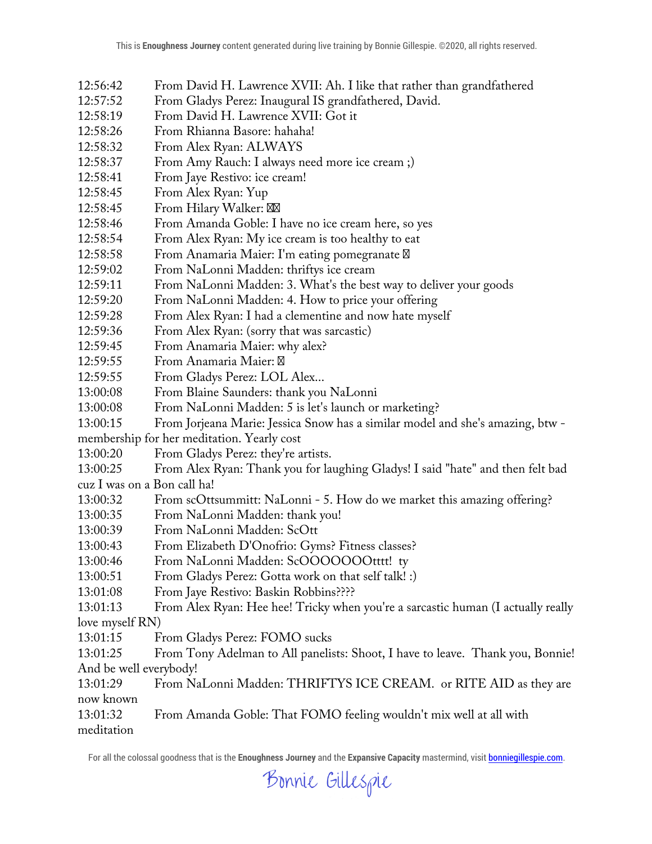- 12:56:42 From David H. Lawrence XVII: Ah. I like that rather than grandfathered
- 12:57:52 From Gladys Perez: Inaugural IS grandfathered, David.
- 12:58:19 From David H. Lawrence XVII: Got it
- 12:58:26 From Rhianna Basore: hahaha!
- 12:58:32 From Alex Ryan: ALWAYS
- 12:58:37 From Amy Rauch: I always need more ice cream ;)
- 12:58:41 From Jaye Restivo: ice cream!
- 12:58:45 From Alex Ryan: Yup
- 12:58:45 From Hilary Walker:
- 12:58:46 From Amanda Goble: I have no ice cream here, so yes
- 12:58:54 From Alex Ryan: My ice cream is too healthy to eat
- 12:58:58 From Anamaria Maier: I'm eating pomegranate
- 12:59:02 From NaLonni Madden: thriftys ice cream
- 12:59:11 From NaLonni Madden: 3. What's the best way to deliver your goods
- 12:59:20 From NaLonni Madden: 4. How to price your offering
- 12:59:28 From Alex Ryan: I had a clementine and now hate myself
- 12:59:36 From Alex Ryan: (sorry that was sarcastic)
- 12:59:45 From Anamaria Maier: why alex?
- 12:59:55 From Anamaria Maier:
- 12:59:55 From Gladys Perez: LOL Alex...
- 13:00:08 From Blaine Saunders: thank you NaLonni
- 13:00:08 From NaLonni Madden: 5 is let's launch or marketing?
- 13:00:15 From Jorjeana Marie: Jessica Snow has a similar model and she's amazing, btw -

membership for her meditation. Yearly cost

13:00:20 From Gladys Perez: they're artists.

13:00:25 From Alex Ryan: Thank you for laughing Gladys! I said "hate" and then felt bad cuz I was on a Bon call ha!

- 13:00:32 From scOttsummitt: NaLonni 5. How do we market this amazing offering?
- 13:00:35 From NaLonni Madden: thank you!
- 13:00:39 From NaLonni Madden: ScOtt
- 13:00:43 From Elizabeth D'Onofrio: Gyms? Fitness classes?
- 13:00:46 From NaLonni Madden: ScOOOOOOOtttt! ty
- 13:00:51 From Gladys Perez: Gotta work on that self talk! :)
- 13:01:08 From Jaye Restivo: Baskin Robbins????

13:01:13 From Alex Ryan: Hee hee! Tricky when you're a sarcastic human (I actually really love myself RN)

- 13:01:15 From Gladys Perez: FOMO sucks
- 13:01:25 From Tony Adelman to All panelists: Shoot, I have to leave. Thank you, Bonnie! And be well everybody!

13:01:29 From NaLonni Madden: THRIFTYS ICE CREAM. or RITE AID as they are now known

13:01:32 From Amanda Goble: That FOMO feeling wouldn't mix well at all with meditation

Bonnie Gillespie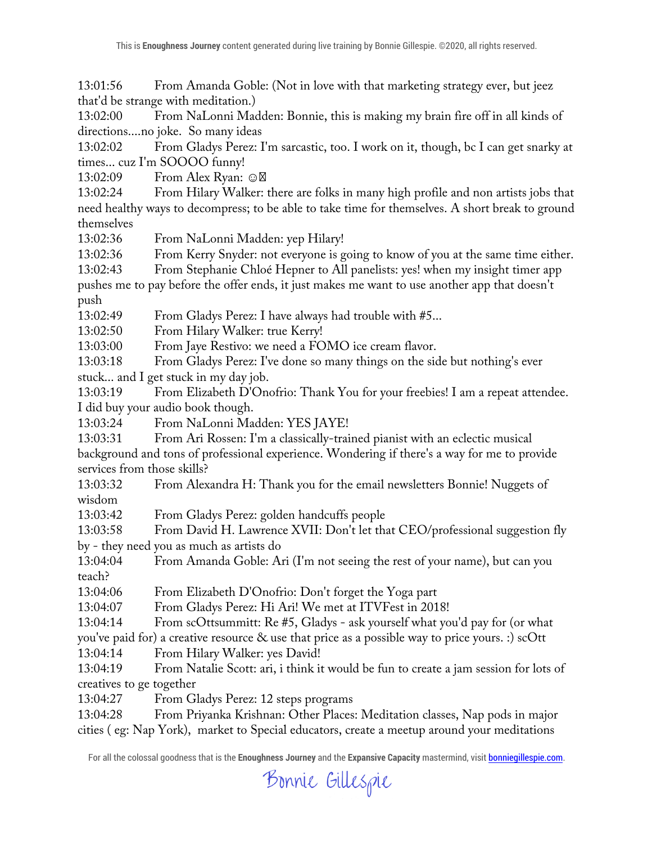13:01:56 From Amanda Goble: (Not in love with that marketing strategy ever, but jeez that'd be strange with meditation.)

13:02:00 From NaLonni Madden: Bonnie, this is making my brain fire off in all kinds of directions....no joke. So many ideas

13:02:02 From Gladys Perez: I'm sarcastic, too. I work on it, though, bc I can get snarky at times... cuz I'm SOOOO funny!

13:02:09 From Alex Ryan: ☺

13:02:24 From Hilary Walker: there are folks in many high profile and non artists jobs that need healthy ways to decompress; to be able to take time for themselves. A short break to ground themselves

13:02:36 From NaLonni Madden: yep Hilary!

13:02:36 From Kerry Snyder: not everyone is going to know of you at the same time either.

13:02:43 From Stephanie Chloé Hepner to All panelists: yes! when my insight timer app pushes me to pay before the offer ends, it just makes me want to use another app that doesn't push

13:02:49 From Gladys Perez: I have always had trouble with #5...

13:02:50 From Hilary Walker: true Kerry!

13:03:00 From Jaye Restivo: we need a FOMO ice cream flavor.

13:03:18 From Gladys Perez: I've done so many things on the side but nothing's ever stuck... and I get stuck in my day job.

13:03:19 From Elizabeth D'Onofrio: Thank You for your freebies! I am a repeat attendee. I did buy your audio book though.

13:03:24 From NaLonni Madden: YES JAYE!

13:03:31 From Ari Rossen: I'm a classically-trained pianist with an eclectic musical background and tons of professional experience. Wondering if there's a way for me to provide services from those skills?

13:03:32 From Alexandra H: Thank you for the email newsletters Bonnie! Nuggets of wisdom

13:03:42 From Gladys Perez: golden handcuffs people

13:03:58 From David H. Lawrence XVII: Don't let that CEO/professional suggestion fly by - they need you as much as artists do

13:04:04 From Amanda Goble: Ari (I'm not seeing the rest of your name), but can you teach?

13:04:06 From Elizabeth D'Onofrio: Don't forget the Yoga part

13:04:07 From Gladys Perez: Hi Ari! We met at ITVFest in 2018!

13:04:14 From scOttsummitt: Re #5, Gladys - ask yourself what you'd pay for (or what

you've paid for) a creative resource & use that price as a possible way to price yours. :) scOtt

13:04:14 From Hilary Walker: yes David!

13:04:19 From Natalie Scott: ari, i think it would be fun to create a jam session for lots of creatives to ge together

13:04:27 From Gladys Perez: 12 steps programs

13:04:28 From Priyanka Krishnan: Other Places: Meditation classes, Nap pods in major cities ( eg: Nap York), market to Special educators, create a meetup around your meditations

Bonnie Gillespie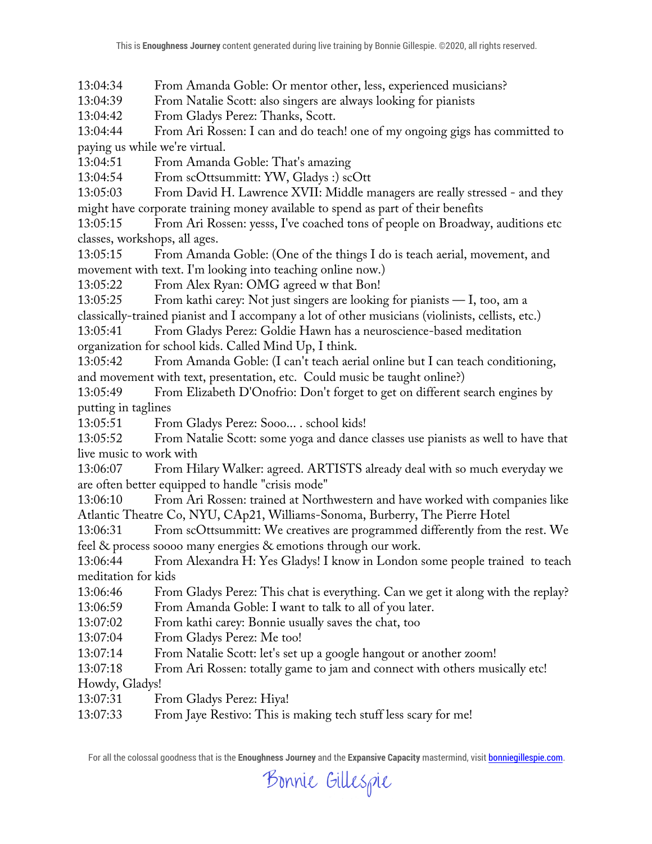13:04:34 From Amanda Goble: Or mentor other, less, experienced musicians?

13:04:39 From Natalie Scott: also singers are always looking for pianists

13:04:42 From Gladys Perez: Thanks, Scott.

13:04:44 From Ari Rossen: I can and do teach! one of my ongoing gigs has committed to paying us while we're virtual.

13:04:51 From Amanda Goble: That's amazing

13:04:54 From scOttsummitt: YW, Gladys :) scOtt

13:05:03 From David H. Lawrence XVII: Middle managers are really stressed - and they might have corporate training money available to spend as part of their benefits

13:05:15 From Ari Rossen: yesss, I've coached tons of people on Broadway, auditions etc classes, workshops, all ages.

13:05:15 From Amanda Goble: (One of the things I do is teach aerial, movement, and movement with text. I'm looking into teaching online now.)

13:05:22 From Alex Ryan: OMG agreed w that Bon!

13:05:25 From kathi carey: Not just singers are looking for pianists — I, too, am a

classically-trained pianist and I accompany a lot of other musicians (violinists, cellists, etc.)

13:05:41 From Gladys Perez: Goldie Hawn has a neuroscience-based meditation organization for school kids. Called Mind Up, I think.

13:05:42 From Amanda Goble: (I can't teach aerial online but I can teach conditioning, and movement with text, presentation, etc. Could music be taught online?)

13:05:49 From Elizabeth D'Onofrio: Don't forget to get on different search engines by putting in taglines

13:05:51 From Gladys Perez: Sooo... . school kids!

13:05:52 From Natalie Scott: some yoga and dance classes use pianists as well to have that live music to work with

13:06:07 From Hilary Walker: agreed. ARTISTS already deal with so much everyday we are often better equipped to handle "crisis mode"

13:06:10 From Ari Rossen: trained at Northwestern and have worked with companies like Atlantic Theatre Co, NYU, CAp21, Williams-Sonoma, Burberry, The Pierre Hotel

13:06:31 From scOttsummitt: We creatives are programmed differently from the rest. We feel & process soooo many energies & emotions through our work.

13:06:44 From Alexandra H: Yes Gladys! I know in London some people trained to teach meditation for kids

13:06:46 From Gladys Perez: This chat is everything. Can we get it along with the replay? 13:06:59 From Amanda Goble: I want to talk to all of you later.

13:07:02 From kathi carey: Bonnie usually saves the chat, too

13:07:04 From Gladys Perez: Me too!

13:07:14 From Natalie Scott: let's set up a google hangout or another zoom!

13:07:18 From Ari Rossen: totally game to jam and connect with others musically etc! Howdy, Gladys!

13:07:31 From Gladys Perez: Hiya!

13:07:33 From Jaye Restivo: This is making tech stuff less scary for me!

Bonnie Gillespie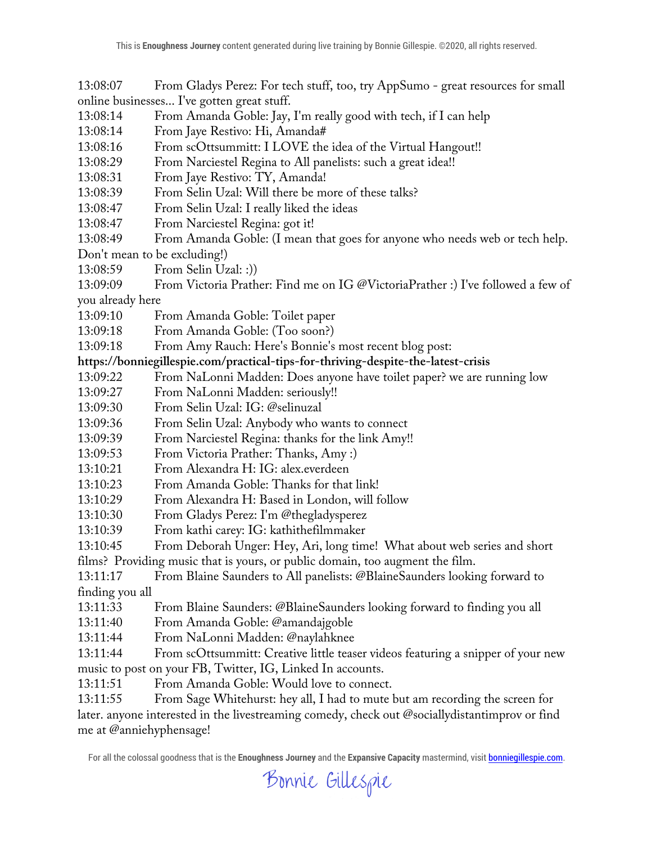13:08:07 From Gladys Perez: For tech stuff, too, try AppSumo - great resources for small online businesses... I've gotten great stuff.

- 13:08:14 From Amanda Goble: Jay, I'm really good with tech, if I can help
- 13:08:14 From Jaye Restivo: Hi, Amanda#
- 13:08:16 From scOttsummitt: I LOVE the idea of the Virtual Hangout!!
- 13:08:29 From Narciestel Regina to All panelists: such a great idea!!
- 13:08:31 From Jaye Restivo: TY, Amanda!
- 13:08:39 From Selin Uzal: Will there be more of these talks?
- 13:08:47 From Selin Uzal: I really liked the ideas
- 13:08:47 From Narciestel Regina: got it!
- 13:08:49 From Amanda Goble: (I mean that goes for anyone who needs web or tech help.

Don't mean to be excluding!)

- 13:08:59 From Selin Uzal: :))
- 13:09:09 From Victoria Prather: Find me on IG @VictoriaPrather :) I've followed a few of

you already here

- 13:09:10 From Amanda Goble: Toilet paper
- 13:09:18 From Amanda Goble: (Too soon?)
- 13:09:18 From Amy Rauch: Here's Bonnie's most recent blog post:

## **https://bonniegillespie.com/practical-tips-for-thriving-despite-the-latest-crisis**

- 13:09:22 From NaLonni Madden: Does anyone have toilet paper? we are running low
- 13:09:27 From NaLonni Madden: seriously!!
- 13:09:30 From Selin Uzal: IG: @selinuzal
- 13:09:36 From Selin Uzal: Anybody who wants to connect
- 13:09:39 From Narciestel Regina: thanks for the link Amy!!
- 13:09:53 From Victoria Prather: Thanks, Amy :)
- 13:10:21 From Alexandra H: IG: alex.everdeen
- 13:10:23 From Amanda Goble: Thanks for that link!
- 13:10:29 From Alexandra H: Based in London, will follow
- 13:10:30 From Gladys Perez: I'm @thegladysperez
- 13:10:39 From kathi carey: IG: kathithefilmmaker
- 13:10:45 From Deborah Unger: Hey, Ari, long time! What about web series and short

films? Providing music that is yours, or public domain, too augment the film.

13:11:17 From Blaine Saunders to All panelists: @BlaineSaunders looking forward to finding you all

- 13:11:33 From Blaine Saunders: @BlaineSaunders looking forward to finding you all
- 13:11:40 From Amanda Goble: @amandajgoble
- 13:11:44 From NaLonni Madden: @naylahknee

13:11:44 From scOttsummitt: Creative little teaser videos featuring a snipper of your new music to post on your FB, Twitter, IG, Linked In accounts.

13:11:51 From Amanda Goble: Would love to connect.

13:11:55 From Sage Whitehurst: hey all, I had to mute but am recording the screen for later. anyone interested in the livestreaming comedy, check out @sociallydistantimprov or find me at @anniehyphensage!

Bonnie Gillespie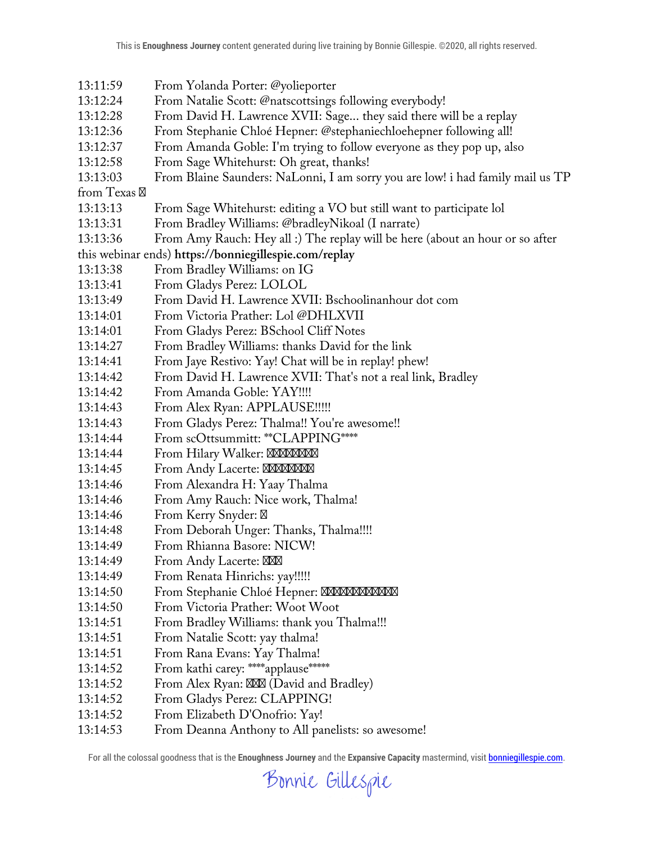- 13:11:59 From Yolanda Porter: @yolieporter 13:12:24 From Natalie Scott: @natscottsings following everybody! 13:12:28 From David H. Lawrence XVII: Sage... they said there will be a replay 13:12:36 From Stephanie Chloé Hepner: @stephaniechloehepner following all! 13:12:37 From Amanda Goble: I'm trying to follow everyone as they pop up, also 13:12:58 From Sage Whitehurst: Oh great, thanks! 13:13:03 From Blaine Saunders: NaLonni, I am sorry you are low! i had family mail us TP from Texas 13:13:13 From Sage Whitehurst: editing a VO but still want to participate lol 13:13:31 From Bradley Williams: @bradleyNikoal (I narrate) 13:13:36 From Amy Rauch: Hey all :) The replay will be here (about an hour or so after this webinar ends) **https://bonniegillespie.com/replay** 13:13:38 From Bradley Williams: on IG 13:13:41 From Gladys Perez: LOLOL 13:13:49 From David H. Lawrence XVII: Bschoolinanhour dot com 13:14:01 From Victoria Prather: Lol @DHLXVII 13:14:01 From Gladys Perez: BSchool Cliff Notes 13:14:27 From Bradley Williams: thanks David for the link 13:14:41 From Jaye Restivo: Yay! Chat will be in replay! phew! 13:14:42 From David H. Lawrence XVII: That's not a real link, Bradley 13:14:42 From Amanda Goble: YAY!!!! 13:14:43 From Alex Ryan: APPLAUSE!!!!! 13:14:43 From Gladys Perez: Thalma!! You're awesome!! 13:14:44 From scOttsummitt: \*\*CLAPPING\*\*\*\* 13:14:44 From Hilary Walker: 13:14:45 From Andy Lacerte: 13:14:46 From Alexandra H: Yaay Thalma 13:14:46 From Amy Rauch: Nice work, Thalma! 13:14:46 From Kerry Snyder: 13:14:48 From Deborah Unger: Thanks, Thalma!!!! 13:14:49 From Rhianna Basore: NICW! 13:14:49 From Andy Lacerte: 13:14:49 From Renata Hinrichs: yay!!!!! 13:14:50 From Stephanie Chloé Hepner: 13:14:50 From Victoria Prather: Woot Woot 13:14:51 From Bradley Williams: thank you Thalma!!! 13:14:51 From Natalie Scott: yay thalma! 13:14:51 From Rana Evans: Yay Thalma! 13:14:52 From kathi carey: \*\*\*\* applause \*\*\*\*\* 13:14:52 From Alex Ryan: (David and Bradley) 13:14:52 From Gladys Perez: CLAPPING! 13:14:52 From Elizabeth D'Onofrio: Yay!
	- 13:14:53 From Deanna Anthony to All panelists: so awesome!

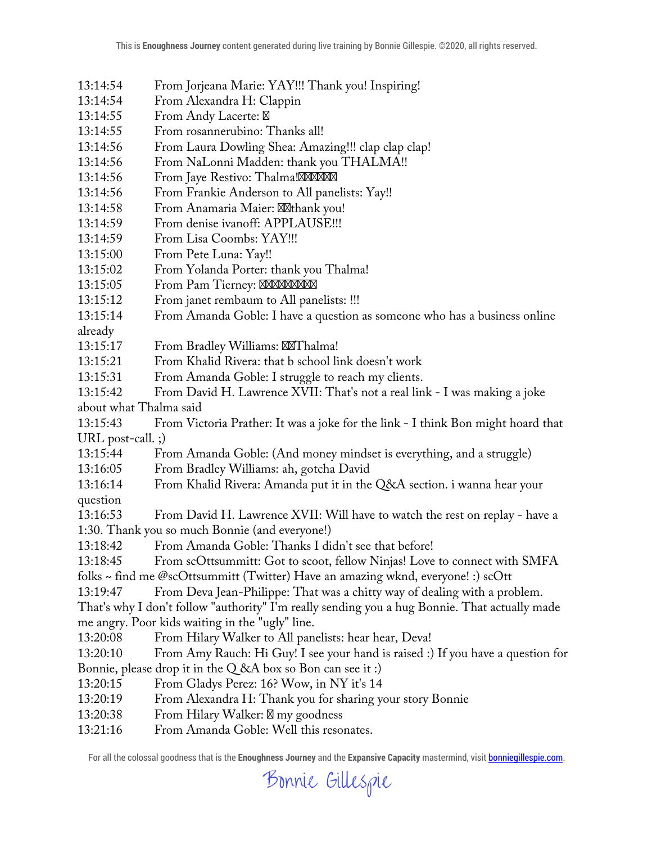- 13:14:54 From Jorjeana Marie: YAY!!! Thank you! Inspiring!
- 13:14:54 From Alexandra H: Clappin
- 13:14:55 From Andy Lacerte:
- 13:14:55 From rosannerubino: Thanks all!
- 13:14:56 From Laura Dowling Shea: Amazing!!! clap clap clap!
- 13:14:56 From NaLonni Madden: thank you THALMA!!
- 13:14:56 From Jaye Restivo: Thalma!
- 13:14:56 From Frankie Anderson to All panelists: Yay!!
- 13:14:58 From Anamaria Maier: thank you!
- 13:14:59 From denise ivanoff: APPLAUSE!!!
- 13:14:59 From Lisa Coombs: YAY!!!
- 13:15:00 From Pete Luna: Yay!!
- 13:15:02 From Yolanda Porter: thank you Thalma!
- 13:15:05 From Pam Tierney:
- 13:15:12 From janet rembaum to All panelists: !!!
- 13:15:14 From Amanda Goble: I have a question as someone who has a business online
- already
- 13:15:17 From Bradley Williams: Thalma!
- 13:15:21 From Khalid Rivera: that b school link doesn't work
- 13:15:31 From Amanda Goble: I struggle to reach my clients.
- 13:15:42 From David H. Lawrence XVII: That's not a real link I was making a joke about what Thalma said
- 13:15:43 From Victoria Prather: It was a joke for the link I think Bon might hoard that URL post-call. ;)
- 13:15:44 From Amanda Goble: (And money mindset is everything, and a struggle)
- 13:16:05 From Bradley Williams: ah, gotcha David
- 13:16:14 From Khalid Rivera: Amanda put it in the Q&A section. i wanna hear your
- question
- 13:16:53 From David H. Lawrence XVII: Will have to watch the rest on replay have a 1:30. Thank you so much Bonnie (and everyone!)
- 13:18:42 From Amanda Goble: Thanks I didn't see that before!
- 13:18:45 From scOttsummitt: Got to scoot, fellow Ninjas! Love to connect with SMFA
- folks ~ find me @scOttsummitt (Twitter) Have an amazing wknd, everyone! :) scOtt
- 13:19:47 From Deva Jean-Philippe: That was a chitty way of dealing with a problem.
- That's why I don't follow "authority" I'm really sending you a hug Bonnie. That actually made me angry. Poor kids waiting in the "ugly" line.
- 13:20:08 From Hilary Walker to All panelists: hear hear, Deva!
- 13:20:10 From Amy Rauch: Hi Guy! I see your hand is raised :) If you have a question for Bonnie, please drop it in the Q &A box so Bon can see it :)
- 13:20:15 From Gladys Perez: 16? Wow, in NY it's 14
- 13:20:19 From Alexandra H: Thank you for sharing your story Bonnie
- 13:20:38 From Hilary Walker: my goodness
- 13:21:16 From Amanda Goble: Well this resonates.

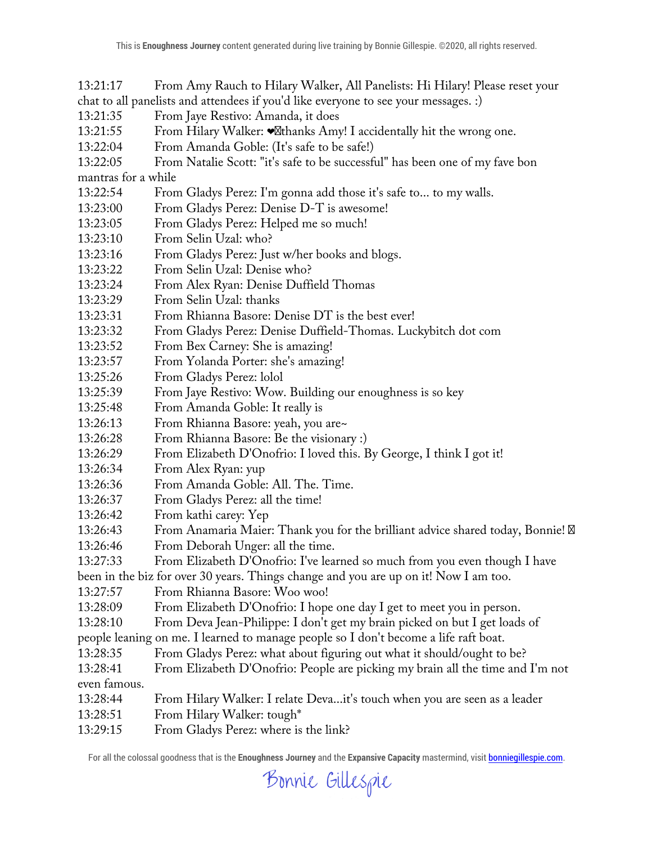13:21:17 From Amy Rauch to Hilary Walker, All Panelists: Hi Hilary! Please reset your chat to all panelists and attendees if you'd like everyone to see your messages. :)

13:21:35 From Jaye Restivo: Amanda, it does

- 13:21:55 From Hilary Walker:  $\bullet$  thanks Amy! I accidentally hit the wrong one.
- 13:22:04 From Amanda Goble: (It's safe to be safe!)
- 13:22:05 From Natalie Scott: "it's safe to be successful" has been one of my fave bon

mantras for a while

- 13:22:54 From Gladys Perez: I'm gonna add those it's safe to... to my walls.
- 13:23:00 From Gladys Perez: Denise D-T is awesome!
- 13:23:05 From Gladys Perez: Helped me so much!
- 13:23:10 From Selin Uzal: who?
- 13:23:16 From Gladys Perez: Just w/her books and blogs.
- 13:23:22 From Selin Uzal: Denise who?
- 13:23:24 From Alex Ryan: Denise Duffield Thomas
- 13:23:29 From Selin Uzal: thanks
- 13:23:31 From Rhianna Basore: Denise DT is the best ever!
- 13:23:32 From Gladys Perez: Denise Duffield-Thomas. Luckybitch dot com
- 13:23:52 From Bex Carney: She is amazing!
- 13:23:57 From Yolanda Porter: she's amazing!
- 13:25:26 From Gladys Perez: lolol
- 13:25:39 From Jaye Restivo: Wow. Building our enoughness is so key
- 13:25:48 From Amanda Goble: It really is
- 13:26:13 From Rhianna Basore: yeah, you are~
- 13:26:28 From Rhianna Basore: Be the visionary :)
- 13:26:29 From Elizabeth D'Onofrio: I loved this. By George, I think I got it!
- 13:26:34 From Alex Ryan: yup
- 13:26:36 From Amanda Goble: All. The. Time.
- 13:26:37 From Gladys Perez: all the time!
- 13:26:42 From kathi carey: Yep
- 13:26:43 From Anamaria Maier: Thank you for the brilliant advice shared today, Bonnie!
- 13:26:46 From Deborah Unger: all the time.
- 13:27:33 From Elizabeth D'Onofrio: I've learned so much from you even though I have
- been in the biz for over 30 years. Things change and you are up on it! Now I am too.
- 13:27:57 From Rhianna Basore: Woo woo!
- 13:28:09 From Elizabeth D'Onofrio: I hope one day I get to meet you in person.
- 13:28:10 From Deva Jean-Philippe: I don't get my brain picked on but I get loads of
- people leaning on me. I learned to manage people so I don't become a life raft boat.
- 13:28:35 From Gladys Perez: what about figuring out what it should/ought to be?
- 13:28:41 From Elizabeth D'Onofrio: People are picking my brain all the time and I'm not even famous.
- 13:28:44 From Hilary Walker: I relate Deva...it's touch when you are seen as a leader
- 13:28:51 From Hilary Walker: tough\*
- 13:29:15 From Gladys Perez: where is the link?

Bonnie Gillespie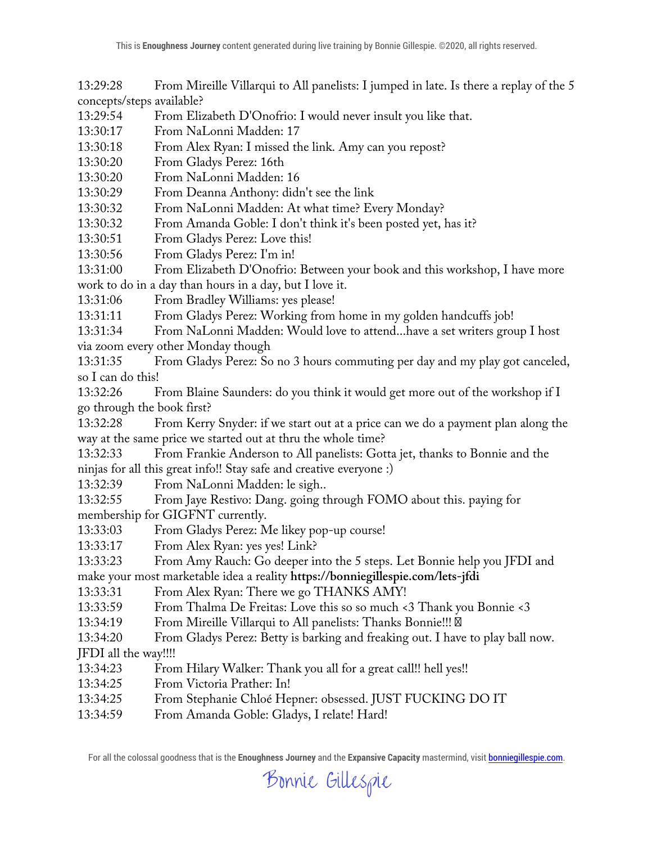13:29:28 From Mireille Villarqui to All panelists: I jumped in late. Is there a replay of the 5 concepts/steps available?

13:29:54 From Elizabeth D'Onofrio: I would never insult you like that.

13:30:17 From NaLonni Madden: 17

13:30:18 From Alex Ryan: I missed the link. Amy can you repost?

13:30:20 From Gladys Perez: 16th

13:30:20 From NaLonni Madden: 16

13:30:29 From Deanna Anthony: didn't see the link

13:30:32 From NaLonni Madden: At what time? Every Monday?

13:30:32 From Amanda Goble: I don't think it's been posted yet, has it?

13:30:51 From Gladys Perez: Love this!

13:30:56 From Gladys Perez: I'm in!

13:31:00 From Elizabeth D'Onofrio: Between your book and this workshop, I have more work to do in a day than hours in a day, but I love it.

13:31:06 From Bradley Williams: yes please!

13:31:11 From Gladys Perez: Working from home in my golden handcuffs job!

13:31:34 From NaLonni Madden: Would love to attend...have a set writers group I host via zoom every other Monday though

13:31:35 From Gladys Perez: So no 3 hours commuting per day and my play got canceled, so I can do this!

13:32:26 From Blaine Saunders: do you think it would get more out of the workshop if I go through the book first?

13:32:28 From Kerry Snyder: if we start out at a price can we do a payment plan along the way at the same price we started out at thru the whole time?

13:32:33 From Frankie Anderson to All panelists: Gotta jet, thanks to Bonnie and the ninjas for all this great info!! Stay safe and creative everyone :)

13:32:39 From NaLonni Madden: le sigh..

13:32:55 From Jaye Restivo: Dang. going through FOMO about this. paying for membership for GIGFNT currently.

13:33:03 From Gladys Perez: Me likey pop-up course!

13:33:17 From Alex Ryan: yes yes! Link?

13:33:23 From Amy Rauch: Go deeper into the 5 steps. Let Bonnie help you JFDI and make your most marketable idea a reality **https://bonniegillespie.com/lets-jfdi**

13:33:31 From Alex Ryan: There we go THANKS AMY!

13:33:59 From Thalma De Freitas: Love this so so much <3 Thank you Bonnie <3

13:34:19 From Mireille Villarqui to All panelists: Thanks Bonnie!!!

13:34:20 From Gladys Perez: Betty is barking and freaking out. I have to play ball now.

JFDI all the way!!!!

- 13:34:23 From Hilary Walker: Thank you all for a great call!! hell yes!!
- 13:34:25 From Victoria Prather: In!

13:34:25 From Stephanie Chloé Hepner: obsessed. JUST FUCKING DO IT

13:34:59 From Amanda Goble: Gladys, I relate! Hard!

For all the colossal goodness that is the **Enoughness Journey** and the **Expansive Capacity** mastermind, visit bonniegillespie.com.

## Bonnie Gillespie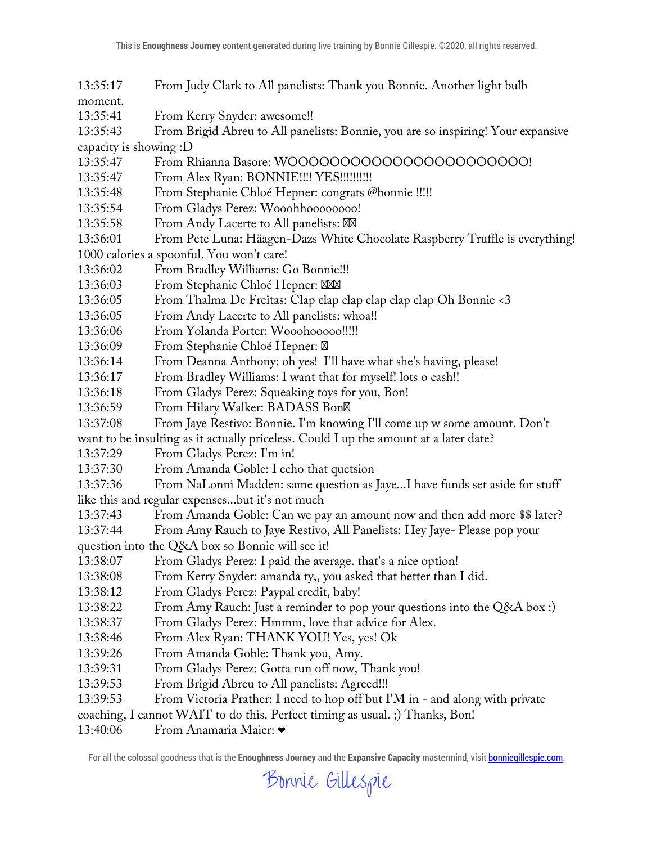13:35:17 From Judy Clark to All panelists: Thank you Bonnie. Another light bulb

moment.

13:35:41 From Kerry Snyder: awesome!!

13:35:43 From Brigid Abreu to All panelists: Bonnie, you are so inspiring! Your expansive capacity is showing :D

13:35:47 From Rhianna Basore: WOOOOOOOOOOOOOOOOOOOOOOO!

13:35:47 From Alex Ryan: BONNIE!!!! YES!!!!!!!!!!!

13:35:48 From Stephanie Chloé Hepner: congrats @bonnie !!!!!

- 13:35:54 From Gladys Perez: Wooohhoooooooo!
- 13:35:58 From Andy Lacerte to All panelists:

13:36:01 From Pete Luna: Häagen-Dazs White Chocolate Raspberry Truffle is everything! 1000 calories a spoonful. You won't care!

- 13:36:02 From Bradley Williams: Go Bonnie!!!
- 13:36:03 From Stephanie Chloé Hepner:
- 13:36:05 From Thalma De Freitas: Clap clap clap clap clap clap Oh Bonnie <3
- 13:36:05 From Andy Lacerte to All panelists: whoa!!
- 13:36:06 From Yolanda Porter: Wooohooooo!!!!!
- 13:36:09 From Stephanie Chloé Hepner:
- 13:36:14 From Deanna Anthony: oh yes! I'll have what she's having, please!
- 13:36:17 From Bradley Williams: I want that for myself! lots o cash!!
- 13:36:18 From Gladys Perez: Squeaking toys for you, Bon!
- 13:36:59 From Hilary Walker: BADASS Bon
- 13:37:08 From Jaye Restivo: Bonnie. I'm knowing I'll come up w some amount. Don't

want to be insulting as it actually priceless. Could I up the amount at a later date?

13:37:29 From Gladys Perez: I'm in!

13:37:30 From Amanda Goble: I echo that quetsion

13:37:36 From NaLonni Madden: same question as Jaye...I have funds set aside for stuff like this and regular expenses...but it's not much

- 13:37:43 From Amanda Goble: Can we pay an amount now and then add more \$\$ later?
- 13:37:44 From Amy Rauch to Jaye Restivo, All Panelists: Hey Jaye- Please pop your question into the Q&A box so Bonnie will see it!
- 13:38:07 From Gladys Perez: I paid the average. that's a nice option!
- 13:38:08 From Kerry Snyder: amanda ty,, you asked that better than I did.
- 13:38:12 From Gladys Perez: Paypal credit, baby!
- 13:38:22 From Amy Rauch: Just a reminder to pop your questions into the Q&A box :)
- 13:38:37 From Gladys Perez: Hmmm, love that advice for Alex.
- 13:38:46 From Alex Ryan: THANK YOU! Yes, yes! Ok
- 13:39:26 From Amanda Goble: Thank you, Amy.
- 13:39:31 From Gladys Perez: Gotta run off now, Thank you!
- 13:39:53 From Brigid Abreu to All panelists: Agreed!!!
- 13:39:53 From Victoria Prather: I need to hop off but I'M in and along with private
- coaching, I cannot WAIT to do this. Perfect timing as usual. ;) Thanks, Bon!
- 13:40:06 From Anamaria Maier: ❤

Bonnie Gillespie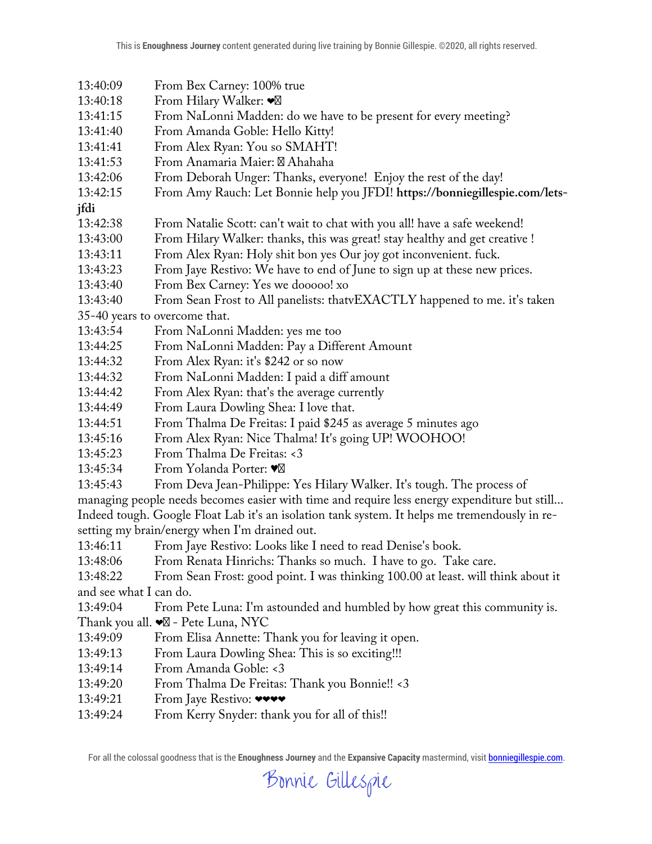- 13:40:09 From Bex Carney: 100% true
- 13:40:18 From Hilary Walker: ❤
- 13:41:15 From NaLonni Madden: do we have to be present for every meeting?
- 13:41:40 From Amanda Goble: Hello Kitty!
- 13:41:41 From Alex Ryan: You so SMAHT!
- 13:41:53 From Anamaria Maier: Ahahaha
- 13:42:06 From Deborah Unger: Thanks, everyone! Enjoy the rest of the day!
- 13:42:15 From Amy Rauch: Let Bonnie help you JFDI! **https://bonniegillespie.com/lets-**
- **jfdi**
- 13:42:38 From Natalie Scott: can't wait to chat with you all! have a safe weekend!
- 13:43:00 From Hilary Walker: thanks, this was great! stay healthy and get creative !
- 13:43:11 From Alex Ryan: Holy shit bon yes Our joy got inconvenient. fuck.
- 13:43:23 From Jaye Restivo: We have to end of June to sign up at these new prices.
- 13:43:40 From Bex Carney: Yes we dooooo! xo
- 13:43:40 From Sean Frost to All panelists: thatvEXACTLY happened to me. it's taken

35-40 years to overcome that.

- 13:43:54 From NaLonni Madden: yes me too
- 13:44:25 From NaLonni Madden: Pay a Different Amount
- 13:44:32 From Alex Ryan: it's \$242 or so now
- 13:44:32 From NaLonni Madden: I paid a diff amount
- 13:44:42 From Alex Ryan: that's the average currently
- 13:44:49 From Laura Dowling Shea: I love that.
- 13:44:51 From Thalma De Freitas: I paid \$245 as average 5 minutes ago
- 13:45:16 From Alex Ryan: Nice Thalma! It's going UP! WOOHOO!
- 13:45:23 From Thalma De Freitas: <3
- 13:45:34 From Yolanda Porter: ♥
- 13:45:43 From Deva Jean-Philippe: Yes Hilary Walker. It's tough. The process of
- managing people needs becomes easier with time and require less energy expenditure but still... Indeed tough. Google Float Lab it's an isolation tank system. It helps me tremendously in resetting my brain/energy when I'm drained out.
- 13:46:11 From Jaye Restivo: Looks like I need to read Denise's book.
- 13:48:06 From Renata Hinrichs: Thanks so much. I have to go. Take care.
- 13:48:22 From Sean Frost: good point. I was thinking 100.00 at least. will think about it and see what I can do.
- 13:49:04 From Pete Luna: I'm astounded and humbled by how great this community is.
- Thank you all. ❤ Pete Luna, NYC
- 13:49:09 From Elisa Annette: Thank you for leaving it open.
- 13:49:13 From Laura Dowling Shea: This is so exciting!!!
- 13:49:14 From Amanda Goble: <3
- 13:49:20 From Thalma De Freitas: Thank you Bonnie!! <3
- 13:49:21 From Jaye Restivo:  $\bullet \bullet \bullet \bullet$
- 13:49:24 From Kerry Snyder: thank you for all of this!!

Bonnie Gillespie